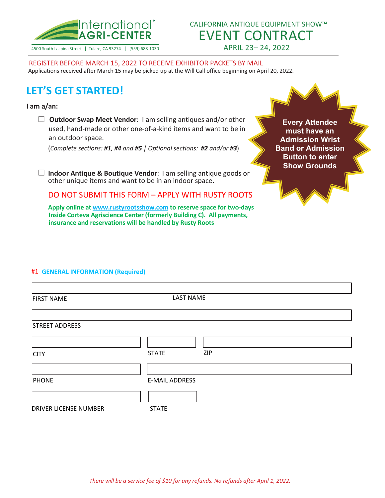

CALIFORNIA ANTIQUE EQUIPMENT SHOW™ EVENT CONTRACT APRIL 23– 24, 2022

4500 South Laspina Street | Tulare, CA 93274 | (559) 688-1030

REGISTER BEFORE MARCH 15, 2022 TO RECEIVE EXHIBITOR PACKETS BY MAIL Applications received after March 15 may be picked up at the Will Call office beginning on April 20, 2022.

# **LET'S GET STARTED!**

#### **I am a/an:**

 **Outdoor Swap Meet Vendor**: I am selling antiques and/or other used, hand-made or other one-of-a-kind items and want to be in an outdoor space.

(*Complete sections: #1, #4 and #5 | Optional sections: #2 and/or #3*)

 **Indoor Antique & Boutique Vendor**: I am selling antique goods or other unique items and want to be in an indoor space.

DO NOT SUBMIT THIS FORM – APPLY WITH RUSTY ROOTS

**Apply online a[t www.rustyrootsshow.com](http://www.rustyrootsshow.com/) to reserve space for two-days Inside Corteva Agriscience Center (formerly Building C). All payments, insurance and reservations will be handled by Rusty Roots**

**Every Attendee must have an Admission Wrist Band or Admission Button to enter Show Grounds**

#### #1 **GENERAL INFORMATION (Required)**

| <b>FIRST NAME</b>     | <b>LAST NAME</b>      |  |  |  |  |
|-----------------------|-----------------------|--|--|--|--|
|                       |                       |  |  |  |  |
| <b>STREET ADDRESS</b> |                       |  |  |  |  |
|                       |                       |  |  |  |  |
| <b>CITY</b>           | ZIP<br><b>STATE</b>   |  |  |  |  |
|                       |                       |  |  |  |  |
| <b>PHONE</b>          | <b>E-MAIL ADDRESS</b> |  |  |  |  |
|                       |                       |  |  |  |  |
| DRIVER LICENSE NUMBER | <b>STATE</b>          |  |  |  |  |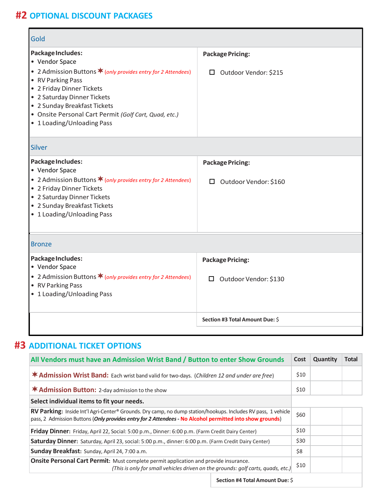## **#2 OPTIONAL DISCOUNT PACKAGES**

| Gold                                                                                                                                                                                                                                                                                                         |                                                    |
|--------------------------------------------------------------------------------------------------------------------------------------------------------------------------------------------------------------------------------------------------------------------------------------------------------------|----------------------------------------------------|
| Package Includes:<br>• Vendor Space<br>• 2 Admission Buttons * (only provides entry for 2 Attendees)<br>• RV Parking Pass<br>• 2 Friday Dinner Tickets<br>• 2 Saturday Dinner Tickets<br>• 2 Sunday Breakfast Tickets<br>• Onsite Personal Cart Permit (Golf Cart, Quad, etc.)<br>• 1 Loading/Unloading Pass | <b>Package Pricing:</b><br>□ Outdoor Vendor: \$215 |
| <b>Silver</b>                                                                                                                                                                                                                                                                                                |                                                    |
| Package Includes:<br>• Vendor Space<br>• 2 Admission Buttons $\bigstar$ (only provides entry for 2 Attendees)<br>• 2 Friday Dinner Tickets<br>• 2 Saturday Dinner Tickets<br>• 2 Sunday Breakfast Tickets<br>• 1 Loading/Unloading Pass                                                                      | <b>Package Pricing:</b><br>□ Outdoor Vendor: \$160 |
| <b>Bronze</b>                                                                                                                                                                                                                                                                                                |                                                    |
| Package Includes:<br>• Vendor Space<br>• 2 Admission Buttons * (only provides entry for 2 Attendees)<br>• RV Parking Pass<br>• 1 Loading/Unloading Pass                                                                                                                                                      | <b>Package Pricing:</b><br>□ Outdoor Vendor: \$130 |
|                                                                                                                                                                                                                                                                                                              | Section #3 Total Amount Due: \$                    |

## **#3 ADDITIONAL TICKET OPTIONS**

| All Vendors must have an Admission Wrist Band / Button to enter Show Grounds                                                                                                                                              | Cost | Quantity | <b>Total</b> |
|---------------------------------------------------------------------------------------------------------------------------------------------------------------------------------------------------------------------------|------|----------|--------------|
| <b>* Admission Wrist Band:</b> Each wrist band valid for two-days. (Children 12 and under are free)                                                                                                                       | \$10 |          |              |
| <b>* Admission Button:</b> 2-day admission to the show                                                                                                                                                                    | \$10 |          |              |
| Select individual items to fit your needs.                                                                                                                                                                                |      |          |              |
| RV Parking: Inside Int'l Agri-Center® Grounds. Dry camp, no dump station/hookups. Includes RV pass, 1 vehicle<br>pass, 2 Admission Buttons (Only provides entry for 2 Attendees - No Alcohol permitted into show grounds) | \$60 |          |              |
| <b>Friday Dinner:</b> Friday, April 22, Social: 5:00 p.m., Dinner: 6:00 p.m. (Farm Credit Dairy Center)                                                                                                                   | \$10 |          |              |
| <b>Saturday Dinner:</b> Saturday, April 23, social: 5:00 p.m., dinner: 6:00 p.m. (Farm Credit Dairy Center)                                                                                                               | \$30 |          |              |
| Sunday Breakfast: Sunday, April 24, 7:00 a.m.                                                                                                                                                                             | \$8  |          |              |
| Onsite Personal Cart Permit: Must complete permit application and provide insurance.<br>(This is only for small vehicles driven on the grounds: golf carts, quads, etc.)                                                  | \$10 |          |              |
| Section #4 Total Amount Due: \$                                                                                                                                                                                           |      |          |              |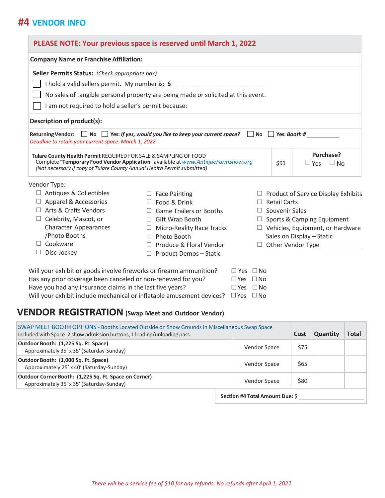### **#4 VENDOR INFO**

| <b>Company Name or Franchise Affiliation:</b>                                                                                                                                                       |                                                                                   |                       |                                            |
|-----------------------------------------------------------------------------------------------------------------------------------------------------------------------------------------------------|-----------------------------------------------------------------------------------|-----------------------|--------------------------------------------|
| Seller Permits Status: (Check appropriate box)                                                                                                                                                      |                                                                                   |                       |                                            |
|                                                                                                                                                                                                     | I hold a valid sellers permit. My number is: S                                    |                       |                                            |
|                                                                                                                                                                                                     | No sales of tangible personal property are being made or solicited at this event. |                       |                                            |
| I am not required to hold a seller's permit because:                                                                                                                                                |                                                                                   |                       |                                            |
| Description of product(s):                                                                                                                                                                          |                                                                                   |                       |                                            |
| Returning Vendor: $\Box$ No $\Box$ Yes: If yes, would you like to keep your current space? $\Box$ No $\Box$ Yes: Booth #                                                                            |                                                                                   |                       |                                            |
| Deadline to retain your current space: March 1, 2022<br>Tulare County Health Permit REQUIRED FOR SALE & SAMPLING OF FOOD<br>(Not necessary if copy of Tulare County Annual Health Permit submitted) | Complete "Temporary Food Vendor Application" available at www.AntiqueFarmShow.org | \$91                  | Purchase?<br>$\Box$ Yes<br>$\square$ No    |
|                                                                                                                                                                                                     |                                                                                   |                       |                                            |
| Antiques & Collectibles                                                                                                                                                                             | <b>Face Painting</b>                                                              |                       | $\Box$ Product of Service Display Exhibits |
| Apparel & Accessories                                                                                                                                                                               | Food & Drink                                                                      | <b>Retail Carts</b>   |                                            |
| Arts & Crafts Vendors                                                                                                                                                                               | <b>Game Trailers or Booths</b>                                                    | $\Box$ Souvenir Sales |                                            |
| Celebrity, Mascot, or<br>$\Box$                                                                                                                                                                     | Gift Wrap Booth<br>$\Box$                                                         |                       | $\Box$ Sports & Camping Equipment          |
| <b>Character Appearances</b>                                                                                                                                                                        | Micro-Reality Race Tracks                                                         |                       | $\Box$ Vehicles, Equipment, or Hardware    |
| /Photo Booths                                                                                                                                                                                       | Photo Booth                                                                       |                       | Sales on Display - Static                  |
| Vendor Type:<br>Cookware                                                                                                                                                                            | Produce & Floral Vendor                                                           |                       | $\Box$ Other Vendor Type                   |

| Will your exhibit or goods involve fireworks or firearm ammunition?                        | $\Box$ Yes $\Box$ No |  |
|--------------------------------------------------------------------------------------------|----------------------|--|
| Has any prior coverage been canceled or non-renewed for you?                               | $\Box$ Yes $\Box$ No |  |
| Have you had any insurance claims in the last five years?                                  | $\Box$ Yes $\Box$ No |  |
| Will your exhibit include mechanical or inflatable amusement devices? $\Box$ Yes $\Box$ No |                      |  |

## **VENDOR REGISTRATION (Swap Meet and Outdoor Vendor)**

| SWAP MEET BOOTH OPTIONS - Booths Located Outside on Show Grounds in Miscellaneous Swap Space<br>Included with Space: 2 show admission buttons, 1 loading/unloading pass |  |                                 | Cost | Quantity | <b>Total</b> |
|-------------------------------------------------------------------------------------------------------------------------------------------------------------------------|--|---------------------------------|------|----------|--------------|
| Outdoor Booth: (1,225 Sq. Ft. Space)<br>Approximately 35' x 35' (Saturday-Sunday)                                                                                       |  | Vendor Space                    | \$75 |          |              |
| Outdoor Booth: (1,000 Sq. Ft. Space)<br>Approximately 25' x 40' (Saturday-Sunday)                                                                                       |  | Vendor Space                    | \$65 |          |              |
| Outdoor Corner Booth: (1,225 Sq. Ft. Space on Corner)<br>Approximately 35' x 35' (Saturday-Sunday)                                                                      |  | Vendor Space                    | \$80 |          |              |
|                                                                                                                                                                         |  | Section #4 Total Amount Due: \$ |      |          |              |